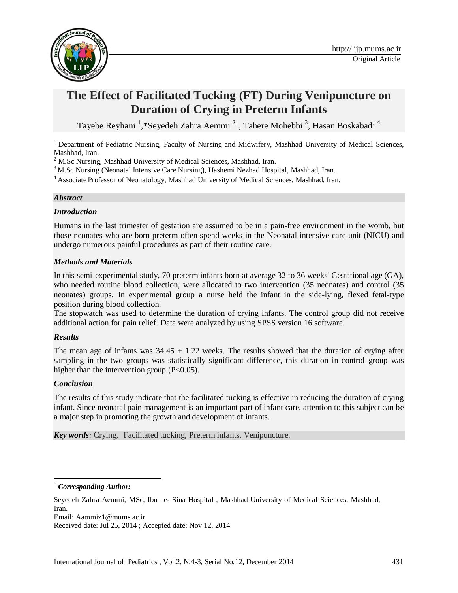

# **The Effect of Facilitated Tucking (FT) During Venipuncture on Duration of Crying in Preterm Infants**

Tayebe Reyhani <sup>1</sup>,\*Seyedeh Zahra Aemmi<sup>2</sup>, Tahere Mohebbi<sup>3</sup>, Hasan Boskabadi<sup>4</sup>

<sup>1</sup> Department of Pediatric Nursing, Faculty of Nursing and Midwifery, Mashhad University of Medical Sciences, Mashhad, Iran.

<sup>2</sup> M.Sc Nursing, Mashhad University of Medical Sciences, Mashhad, Iran.

<sup>3</sup>M.Sc Nursing (Neonatal Intensive Care Nursing), Hashemi Nezhad Hospital, Mashhad, Iran.

<sup>4</sup>Associate Professor of Neonatology, Mashhad University of Medical Sciences, Mashhad, Iran.

### *Abstract*

#### *Introduction*

Humans in the last trimester of gestation are assumed to be in a pain-free environment in the womb, but those neonates who are born preterm often spend weeks in the Neonatal intensive care unit (NICU) and undergo numerous painful procedures as part of their routine care.

#### *Methods and Materials*

In this semi-experimental study, 70 preterm infants born at average 32 to 36 weeks' Gestational age (GA), who needed routine blood collection, were allocated to two intervention (35 neonates) and control (35 neonates) groups. In experimental group a nurse held the infant in the side-lying, flexed fetal-type position during blood collection.

The stopwatch was used to determine the duration of crying infants. The control group did not receive additional action for pain relief. Data were analyzed by using SPSS version 16 software.

#### *Results*

The mean age of infants was  $34.45 \pm 1.22$  weeks. The results showed that the duration of crying after sampling in the two groups was statistically significant difference, this duration in control group was higher than the intervention group  $(P<0.05)$ .

#### *Conclusion*

 $\overline{\phantom{a}}$ 

The results of this study indicate that the facilitated tucking is effective in reducing the duration of crying infant. Since neonatal pain management is an important part of infant care, attention to this subject can be a major step in promoting the growth and development of infants.

*Key words:* Crying, Facilitated tucking, Preterm infants, Venipuncture.

Email: [Aammiz1@mums.ac.ir](mailto:Aammiz1@mums.ac.ir)

 $Corresponding Author:$ 

Seyedeh Zahra Aemmi, MSc, Ibn –e- Sina Hospital , Mashhad University of Medical Sciences, Mashhad, Iran.

Received date: Jul 25, 2014 ; Accepted date: Nov 12, 2014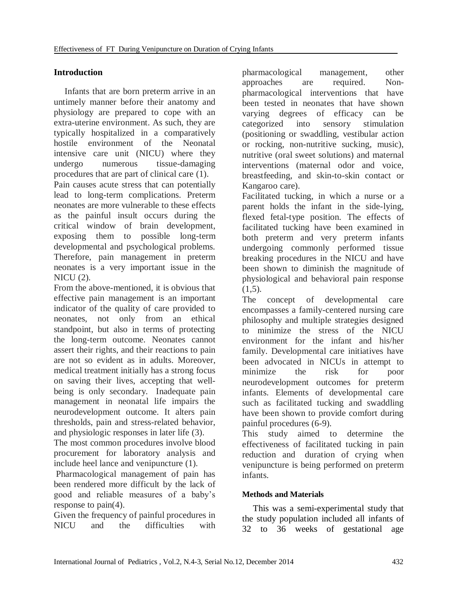# **Introduction**

Infants that are born preterm arrive in an untimely manner before their anatomy and physiology are prepared to cope with an extra-uterine environment. As such, they are typically hospitalized in a comparatively hostile environment of the Neonatal intensive care unit (NICU) where they undergo numerous tissue-damaging procedures that are part of clinical care [\(1\)](#page-4-0).

Pain causes acute stress that can potentially lead to long-term complications. Preterm neonates are more vulnerable to these effects as the painful insult occurs during the critical window of brain development, exposing them to possible long-term developmental and psychological problems. Therefore, pain management in preterm neonates is a very important issue in the  $NICU(2)$  $NICU(2)$ .

From the above-mentioned, it is obvious that effective pain management is an important indicator of the quality of care provided to neonates, not only from an ethical standpoint, but also in terms of protecting the long-term outcome. Neonates cannot assert their rights, and their reactions to pain are not so evident as in adults. Moreover, medical treatment initially has a strong focus on saving their lives, accepting that wellbeing is only secondary. Inadequate pain management in neonatal life impairs the neurodevelopment outcome. It alters pain thresholds, pain and stress-related behavior, and physiologic responses in later life [\(3\)](#page-4-2).

The most common procedures involve blood procurement for laboratory analysis and include heel lance and venipuncture [\(1\)](#page-4-0).

Pharmacological management of pain has been rendered more difficult by the lack of good and reliable measures of a baby's response to pain[\(4\)](#page-4-3).

Given the frequency of painful procedures in NICU and the difficulties with

pharmacological management, other approaches are required. Nonpharmacological interventions that have been tested in neonates that have shown varying degrees of efficacy can be categorized into sensory stimulation (positioning or swaddling, vestibular action or rocking, non-nutritive sucking, music), nutritive (oral sweet solutions) and maternal interventions (maternal odor and voice, breastfeeding, and skin-to-skin contact or Kangaroo care).

Facilitated tucking, in which a nurse or a parent holds the infant in the side-lying, flexed fetal-type position. The effects of facilitated tucking have been examined in both preterm and very preterm infants undergoing commonly performed tissue breaking procedures in the NICU and have been shown to diminish the magnitude of physiological and behavioral pain response  $(1,5)$  $(1,5)$ .

The concept of developmental care encompasses a family-centered nursing care philosophy and multiple strategies designed to minimize the stress of the NICU environment for the infant and his/her family. Developmental care initiatives have been advocated in NICUs in attempt to minimize the risk for poor neurodevelopment outcomes for preterm infants. Elements of developmental care such as facilitated tucking and swaddling have been shown to provide comfort during painful procedures [\(6-](#page-4-4)9).

This study aimed to determine the effectiveness of facilitated tucking in pain reduction and duration of crying when venipuncture is being performed on preterm infants.

# **Methods and Materials**

This was a semi-experimental study that the study population included all infants of 32 to 36 weeks of gestational age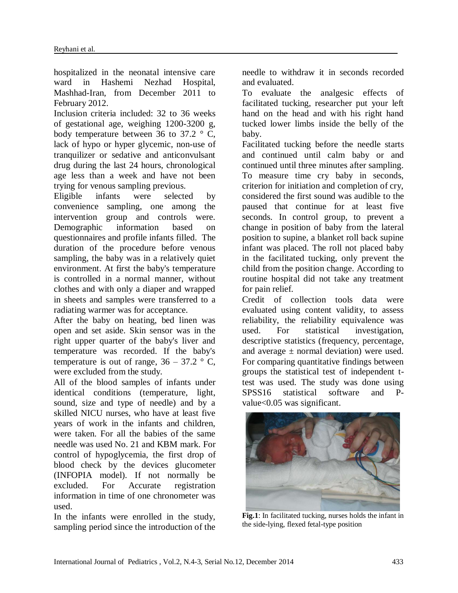hospitalized in the neonatal intensive care ward in Hashemi Nezhad Hospital, Mashhad-Iran, from December 2011 to February 2012.

Inclusion criteria included: 32 to 36 weeks of gestational age, weighing 1200-3200 g, body temperature between 36 to 37.2  $\degree$  C, lack of hypo or hyper glycemic, non-use of tranquilizer or sedative and anticonvulsant drug during the last 24 hours, chronological age less than a week and have not been trying for venous sampling previous.

Eligible infants were selected by convenience sampling, one among the intervention group and controls were. Demographic information based on questionnaires and profile infants filled. The duration of the procedure before venous sampling, the baby was in a relatively quiet environment. At first the baby's temperature is controlled in a normal manner, without clothes and with only a diaper and wrapped in sheets and samples were transferred to a radiating warmer was for acceptance.

After the baby on heating, bed linen was open and set aside. Skin sensor was in the right upper quarter of the baby's liver and temperature was recorded. If the baby's temperature is out of range,  $36 - 37.2$  ° C, were excluded from the study.

All of the blood samples of infants under identical conditions (temperature, light, sound, size and type of needle) and by a skilled NICU nurses, who have at least five years of work in the infants and children, were taken. For all the babies of the same needle was used No. 21 and KBM mark. For control of hypoglycemia, the first drop of blood check by the devices glucometer (INFOPIA model). If not normally be excluded. For Accurate registration information in time of one chronometer was used.

In the infants were enrolled in the study, sampling period since the introduction of the needle to withdraw it in seconds recorded and evaluated.

To evaluate the analgesic effects of facilitated tucking, researcher put your left hand on the head and with his right hand tucked lower limbs inside the belly of the baby.

Facilitated tucking before the needle starts and continued until calm baby or and continued until three minutes after sampling. To measure time cry baby in seconds, criterion for initiation and completion of cry, considered the first sound was audible to the paused that continue for at least five seconds. In control group, to prevent a change in position of baby from the lateral position to supine, a blanket roll back supine infant was placed. The roll not placed baby in the facilitated tucking, only prevent the child from the position change. According to routine hospital did not take any treatment for pain relief.

Credit of collection tools data were evaluated using content validity, to assess reliability, the reliability equivalence was used. For statistical investigation, descriptive statistics (frequency, percentage, and average  $\pm$  normal deviation) were used. For comparing quantitative findings between groups the statistical test of independent ttest was used. The study was done using SPSS16 statistical software and Pvalue<0.05 was significant.



**Fig.1**: In facilitated tucking, nurses holds the infant in the side-lying, flexed fetal-type position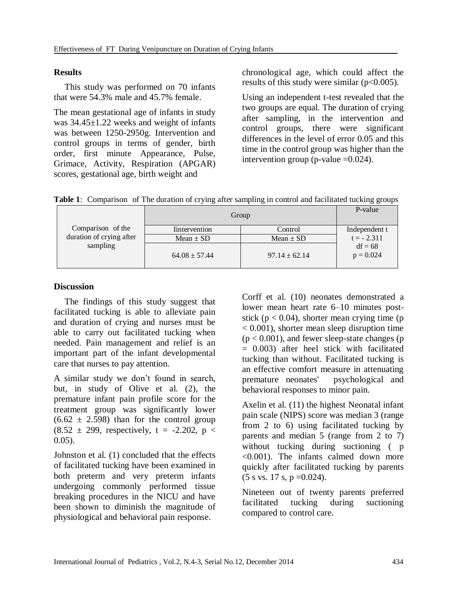## **Results**

This study was performed on 70 infants that were 54.3% male and 45.7% female.

The mean gestational age of infants in study was 34.45±1.22 weeks and weight of infants was between 1250-2950g. Intervention and control groups in terms of gender, birth order, first minute Appearance, Pulse, Grimace, Activity, Respiration (APGAR) scores, gestational age, birth weight and

chronological age, which could affect the results of this study were similar  $(p<0.005)$ .

Using an independent t-test revealed that the two groups are equal. The duration of crying after sampling, in the intervention and control groups, there were significant differences in the level of error 0.05 and this time in the control group was higher than the intervention group (p-value  $=0.024$ ).

**Table 1**: Comparison of The duration of crying after sampling in control and facilitated tucking groups

| Comparison of the<br>duration of crying after<br>sampling | Group                 |                   | P-value                  |
|-----------------------------------------------------------|-----------------------|-------------------|--------------------------|
|                                                           | <b>I</b> intervention | Control           | Independent t            |
|                                                           | Mean $\pm$ SD         | Mean $\pm$ SD     | $t = -2.311$             |
|                                                           | $64.08 \pm 57.44$     | $97.14 \pm 62.14$ | $df = 68$<br>$p = 0.024$ |

# **Discussion**

The findings of this study suggest that facilitated tucking is able to alleviate pain and duration of crying and nurses must be able to carry out facilitated tucking when needed. Pain management and relief is an important part of the infant developmental care that nurses to pay attention.

A similar study we don't found in search, but, in study of Olive et al. [\(2\)](#page-4-1), the premature infant pain profile score for the treatment group was significantly lower  $(6.62 \pm 2.598)$  than for the control group  $(8.52 \pm 299,$  respectively, t = -2.202, p < 0.05).

Johnston et al. [\(1\)](#page-4-0) concluded that the effects of facilitated tucking have been examined in both preterm and very preterm infants undergoing commonly performed tissue breaking procedures in the NICU and have been shown to diminish the magnitude of physiological and behavioral pain response.

Corff et al. [\(10\)](#page-4-5) neonates demonstrated a lower mean heart rate 6–10 minutes poststick ( $p < 0.04$ ), shorter mean crying time ( $p$ ) < 0.001), shorter mean sleep disruption time  $(p < 0.001)$ , and fewer sleep-state changes (p = 0.003) after heel stick with facilitated tucking than without. Facilitated tucking is an effective comfort measure in attenuating premature neonates' psychological and behavioral responses to minor pain.

Axelin et al. [\(11\)](#page-4-6) the highest Neonatal infant pain scale (NIPS) score was median 3 (range from 2 to 6) using facilitated tucking by parents and median 5 (range from 2 to 7) without tucking during suctioning ( p <0.001). The infants calmed down more quickly after facilitated tucking by parents  $(5 s vs. 17 s, p = 0.024).$ 

Nineteen out of twenty parents preferred facilitated tucking during suctioning compared to control care.